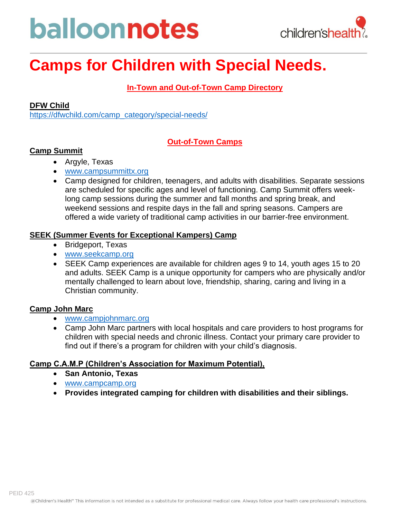# balloonnotes



# **Camps for Children with Special Needs.**

# **In-Town and Out-of-Town Camp Directory**

# **DFW Child**

[https://dfwchild.com/camp\\_category/special-needs/](https://dfwchild.com/camp_category/special-needs/)

# **Out-of-Town Camps**

# **Camp Summit**

- Argyle, Texas
- [www.campsummittx.org](http://www.campsummittx.org/)
- Camp designed for children, teenagers, and adults with disabilities. Separate sessions are scheduled for specific ages and level of functioning. Camp Summit offers weeklong camp sessions during the summer and fall months and spring break, and weekend sessions and respite days in the fall and spring seasons. Campers are offered a wide variety of traditional camp activities in our barrier-free environment.

# **SEEK (Summer Events for Exceptional Kampers) Camp**

- Bridgeport, Texas
- [www.seekcamp.org](http://www.seekcamp.org/)
- SEEK Camp experiences are available for children ages 9 to 14, youth ages 15 to 20 and adults. SEEK Camp is a unique opportunity for campers who are physically and/or mentally challenged to learn about love, friendship, sharing, caring and living in a Christian community.

# **Camp John Marc**

- [www.campjohnmarc.org](http://www.campjohnmarc.org/)
- Camp John Marc partners with local hospitals and care providers to host programs for children with special needs and chronic illness. Contact your primary care provider to find out if there's a program for children with your child's diagnosis.

# **Camp C.A.M.P (Children's Association for Maximum Potential),**

- **San Antonio, Texas**
- [www.campcamp.org](http://www.campcamp.org/)
- **Provides integrated camping for children with disabilities and their siblings.**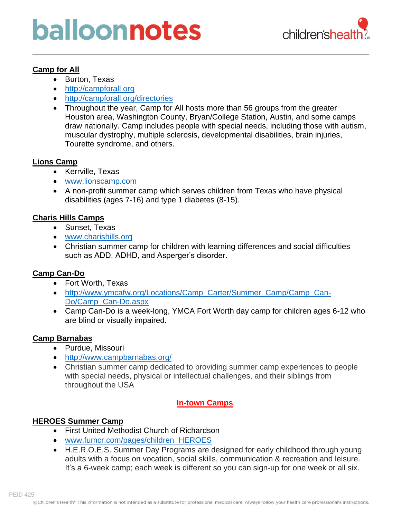# balloonnotes



# **Camp for All**

- Burton, Texas
- [http://campforall.org](http://campforall.org/camp-facts/)
- <http://campforall.org/directories>
- Throughout the year, Camp for All hosts more than 56 groups from the greater Houston area, Washington County, Bryan/College Station, Austin, and some camps draw nationally. Camp includes people with special needs, including those with autism, muscular dystrophy, multiple sclerosis, developmental disabilities, brain injuries, Tourette syndrome, and others.

# **Lions Camp**

- Kerrville, Texas
- [www.lionscamp.com](http://www.lionscamp.com/)
- A non-profit summer camp which serves children from Texas who have physical disabilities (ages 7-16) and type 1 diabetes (8-15).

# **Charis Hills Camps**

- Sunset, Texas
- [www.charishills.org](http://www.charishills.org/)
- Christian summer camp for children with learning differences and social difficulties such as ADD, ADHD, and Asperger's disorder.

# **Camp Can-Do**

- Fort Worth, Texas
- http://www.ymcafw.org/Locations/Camp Carter/Summer Camp/Camp Can-[Do/Camp\\_Can-Do.aspx](http://www.ymcafw.org/Locations/Camp_Carter/Summer_Camp/Camp_Can-Do/Camp_Can-Do.aspx)
- Camp Can-Do is a week-long, YMCA Fort Worth day camp for children ages 6-12 who are blind or visually impaired.

# **Camp Barnabas**

- Purdue, Missouri
- <http://www.campbarnabas.org/>
- Christian summer camp dedicated to providing summer camp experiences to people with special needs, physical or intellectual challenges, and their siblings from throughout the USA

# **In-town Camps**

# **HEROES Summer Camp**

- First United Methodist Church of Richardson
- [www.fumcr.com/pages/children\\_HEROES](http://www.fumcr.com/pages/children_HEROES)
- H.E.R.O.E.S. Summer Day Programs are designed for early childhood through young adults with a focus on vocation, social skills, communication & recreation and leisure. It's a 6-week camp; each week is different so you can sign-up for one week or all six.